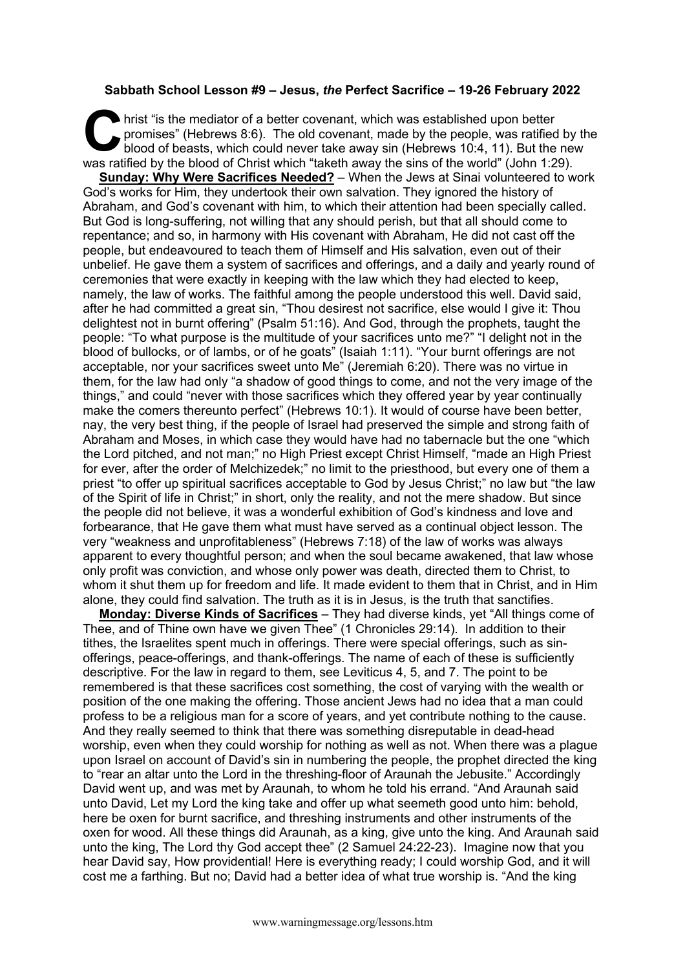## **Sabbath School Lesson #9 – Jesus,** *the* **Perfect Sacrifice – 19-26 February 2022**

hrist "is the mediator of a better covenant, which was established upon better<br>promises" (Hebrews 8:6). The old covenant, made by the people, was ratified<br>blood of beasts, which could never take away sin (Hebrews 10:4, 11) promises" (Hebrews 8:6). The old covenant, made by the people, was ratified by the blood of beasts, which could never take away sin (Hebrews 10:4, 11). But the new was ratified by the blood of Christ which "taketh away the sins of the world" (John 1:29).

**Sunday: Why Were Sacrifices Needed?** – When the Jews at Sinai volunteered to work God's works for Him, they undertook their own salvation. They ignored the history of Abraham, and God's covenant with him, to which their attention had been specially called. But God is long-suffering, not willing that any should perish, but that all should come to repentance; and so, in harmony with His covenant with Abraham, He did not cast off the people, but endeavoured to teach them of Himself and His salvation, even out of their unbelief. He gave them a system of sacrifices and offerings, and a daily and yearly round of ceremonies that were exactly in keeping with the law which they had elected to keep, namely, the law of works. The faithful among the people understood this well. David said, after he had committed a great sin, "Thou desirest not sacrifice, else would I give it: Thou delightest not in burnt offering" (Psalm 51:16). And God, through the prophets, taught the people: "To what purpose is the multitude of your sacrifices unto me?" "I delight not in the blood of bullocks, or of lambs, or of he goats" (Isaiah 1:11). "Your burnt offerings are not acceptable, nor your sacrifices sweet unto Me" (Jeremiah 6:20). There was no virtue in them, for the law had only "a shadow of good things to come, and not the very image of the things," and could "never with those sacrifices which they offered year by year continually make the comers thereunto perfect" (Hebrews 10:1). It would of course have been better, nay, the very best thing, if the people of Israel had preserved the simple and strong faith of Abraham and Moses, in which case they would have had no tabernacle but the one "which the Lord pitched, and not man;" no High Priest except Christ Himself, "made an High Priest for ever, after the order of Melchizedek;" no limit to the priesthood, but every one of them a priest "to offer up spiritual sacrifices acceptable to God by Jesus Christ;" no law but "the law of the Spirit of life in Christ;" in short, only the reality, and not the mere shadow. But since the people did not believe, it was a wonderful exhibition of God's kindness and love and forbearance, that He gave them what must have served as a continual object lesson. The very "weakness and unprofitableness" (Hebrews 7:18) of the law of works was always apparent to every thoughtful person; and when the soul became awakened, that law whose only profit was conviction, and whose only power was death, directed them to Christ, to whom it shut them up for freedom and life. It made evident to them that in Christ, and in Him alone, they could find salvation. The truth as it is in Jesus, is the truth that sanctifies.

**Monday: Diverse Kinds of Sacrifices** – They had diverse kinds, yet "All things come of Thee, and of Thine own have we given Thee" (1 Chronicles 29:14). In addition to their tithes, the Israelites spent much in offerings. There were special offerings, such as sinofferings, peace-offerings, and thank-offerings. The name of each of these is sufficiently descriptive. For the law in regard to them, see Leviticus 4, 5, and 7. The point to be remembered is that these sacrifices cost something, the cost of varying with the wealth or position of the one making the offering. Those ancient Jews had no idea that a man could profess to be a religious man for a score of years, and yet contribute nothing to the cause. And they really seemed to think that there was something disreputable in dead-head worship, even when they could worship for nothing as well as not. When there was a plague upon Israel on account of David's sin in numbering the people, the prophet directed the king to "rear an altar unto the Lord in the threshing-floor of Araunah the Jebusite." Accordingly David went up, and was met by Araunah, to whom he told his errand. "And Araunah said unto David, Let my Lord the king take and offer up what seemeth good unto him: behold, here be oxen for burnt sacrifice, and threshing instruments and other instruments of the oxen for wood. All these things did Araunah, as a king, give unto the king. And Araunah said unto the king, The Lord thy God accept thee" (2 Samuel 24:22-23). Imagine now that you hear David say, How providential! Here is everything ready; I could worship God, and it will cost me a farthing. But no; David had a better idea of what true worship is. "And the king